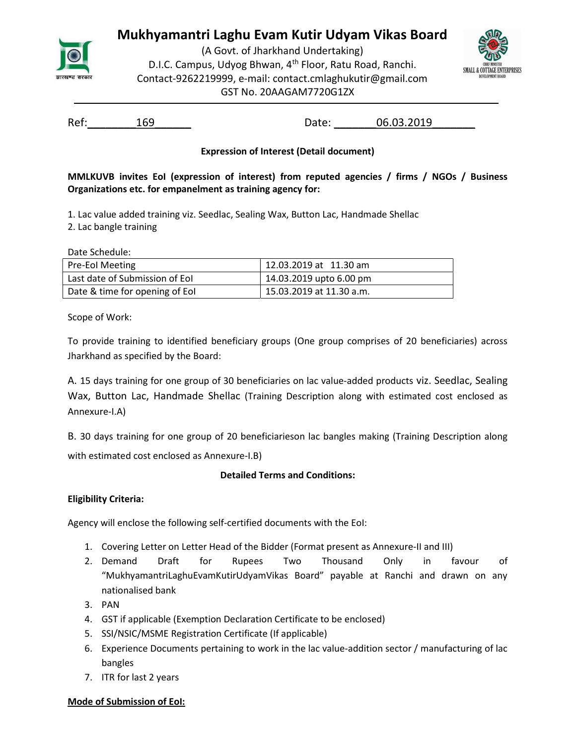

# Mukhyamantri Laghu Evam Kutir Udyam Vikas Board

(A Govt. of Jharkhand Undertaking) D.I.C. Campus, Udyog Bhwan, 4<sup>th</sup> Floor, Ratu Road, Ranchi. Contact-9262219999, e-mail: contact.cmlaghukutir@gmail.com GST No. 20AAGAM7720G1ZX



Ref: 169 169 Date: 06.03.2019

## Expression of Interest (Detail document)

MMLKUVB invites EoI (expression of interest) from reputed agencies / firms / NGOs / Business Organizations etc. for empanelment as training agency for:

1. Lac value added training viz. Seedlac, Sealing Wax, Button Lac, Handmade Shellac

2. Lac bangle training

Date Schedule:

| <b>Pre-Eol Meeting</b>         | 12.03.2019 at 11.30 am   |
|--------------------------------|--------------------------|
| Last date of Submission of Eol | 14.03.2019 upto 6.00 pm  |
| Date & time for opening of Eol | 15.03.2019 at 11.30 a.m. |

Scope of Work:

To provide training to identified beneficiary groups (One group comprises of 20 beneficiaries) across Jharkhand as specified by the Board:

A. 15 days training for one group of 30 beneficiaries on lac value-added products viz. Seedlac, Sealing Wax, Button Lac, Handmade Shellac (Training Description along with estimated cost enclosed as Annexure-I.A)

B. 30 days training for one group of 20 beneficiarieson lac bangles making (Training Description along with estimated cost enclosed as Annexure-I.B)

## Detailed Terms and Conditions:

## Eligibility Criteria:

Agency will enclose the following self-certified documents with the EoI:

- 1. Covering Letter on Letter Head of the Bidder (Format present as Annexure-II and III)
- 2. Demand Draft for Rupees Two Thousand Only in favour of "MukhyamantriLaghuEvamKutirUdyamVikas Board" payable at Ranchi and drawn on any nationalised bank
- 3. PAN
- 4. GST if applicable (Exemption Declaration Certificate to be enclosed)
- 5. SSI/NSIC/MSME Registration Certificate (If applicable)
- 6. Experience Documents pertaining to work in the lac value-addition sector / manufacturing of lac bangles
- 7. ITR for last 2 years

## Mode of Submission of EoI: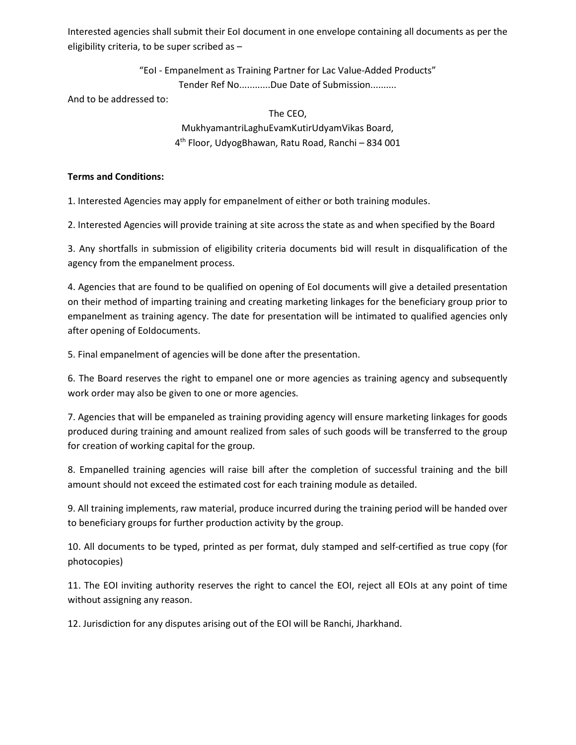Interested agencies shall submit their EoI document in one envelope containing all documents as per the eligibility criteria, to be super scribed as –

"EoI - Empanelment as Training Partner for Lac Value-Added Products"

Tender Ref No............Due Date of Submission..........

And to be addressed to:

#### The CEO,

MukhyamantriLaghuEvamKutirUdyamVikas Board, 4 th Floor, UdyogBhawan, Ratu Road, Ranchi – 834 001

## Terms and Conditions:

1. Interested Agencies may apply for empanelment of either or both training modules.

2. Interested Agencies will provide training at site across the state as and when specified by the Board

3. Any shortfalls in submission of eligibility criteria documents bid will result in disqualification of the agency from the empanelment process.

4. Agencies that are found to be qualified on opening of EoI documents will give a detailed presentation on their method of imparting training and creating marketing linkages for the beneficiary group prior to empanelment as training agency. The date for presentation will be intimated to qualified agencies only after opening of EoIdocuments.

5. Final empanelment of agencies will be done after the presentation.

6. The Board reserves the right to empanel one or more agencies as training agency and subsequently work order may also be given to one or more agencies.

7. Agencies that will be empaneled as training providing agency will ensure marketing linkages for goods produced during training and amount realized from sales of such goods will be transferred to the group for creation of working capital for the group.

8. Empanelled training agencies will raise bill after the completion of successful training and the bill amount should not exceed the estimated cost for each training module as detailed.

9. All training implements, raw material, produce incurred during the training period will be handed over to beneficiary groups for further production activity by the group.

10. All documents to be typed, printed as per format, duly stamped and self-certified as true copy (for photocopies)

11. The EOI inviting authority reserves the right to cancel the EOI, reject all EOIs at any point of time without assigning any reason.

12. Jurisdiction for any disputes arising out of the EOI will be Ranchi, Jharkhand.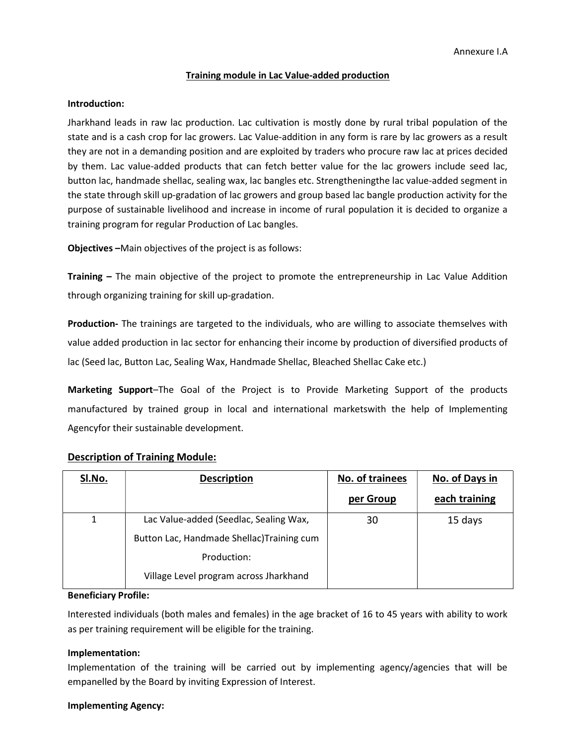#### Training module in Lac Value-added production

#### Introduction:

Jharkhand leads in raw lac production. Lac cultivation is mostly done by rural tribal population of the state and is a cash crop for lac growers. Lac Value-addition in any form is rare by lac growers as a result they are not in a demanding position and are exploited by traders who procure raw lac at prices decided by them. Lac value-added products that can fetch better value for the lac growers include seed lac, button lac, handmade shellac, sealing wax, lac bangles etc. Strengtheningthe lac value-added segment in the state through skill up-gradation of lac growers and group based lac bangle production activity for the purpose of sustainable livelihood and increase in income of rural population it is decided to organize a training program for regular Production of Lac bangles.

Objectives –Main objectives of the project is as follows:

Training – The main objective of the project to promote the entrepreneurship in Lac Value Addition through organizing training for skill up-gradation.

Production- The trainings are targeted to the individuals, who are willing to associate themselves with value added production in lac sector for enhancing their income by production of diversified products of lac (Seed lac, Button Lac, Sealing Wax, Handmade Shellac, Bleached Shellac Cake etc.)

Marketing Support–The Goal of the Project is to Provide Marketing Support of the products manufactured by trained group in local and international marketswith the help of Implementing Agencyfor their sustainable development.

| <b>SI.No.</b> | <b>Description</b>                         | No. of trainees | No. of Days in |
|---------------|--------------------------------------------|-----------------|----------------|
|               |                                            | per Group       | each training  |
| 1             | Lac Value-added (Seedlac, Sealing Wax,     | 30              | 15 days        |
|               | Button Lac, Handmade Shellac) Training cum |                 |                |
|               | Production:                                |                 |                |
|               | Village Level program across Jharkhand     |                 |                |

#### Description of Training Module:

#### Beneficiary Profile:

Interested individuals (both males and females) in the age bracket of 16 to 45 years with ability to work as per training requirement will be eligible for the training.

#### Implementation:

Implementation of the training will be carried out by implementing agency/agencies that will be empanelled by the Board by inviting Expression of Interest.

#### Implementing Agency: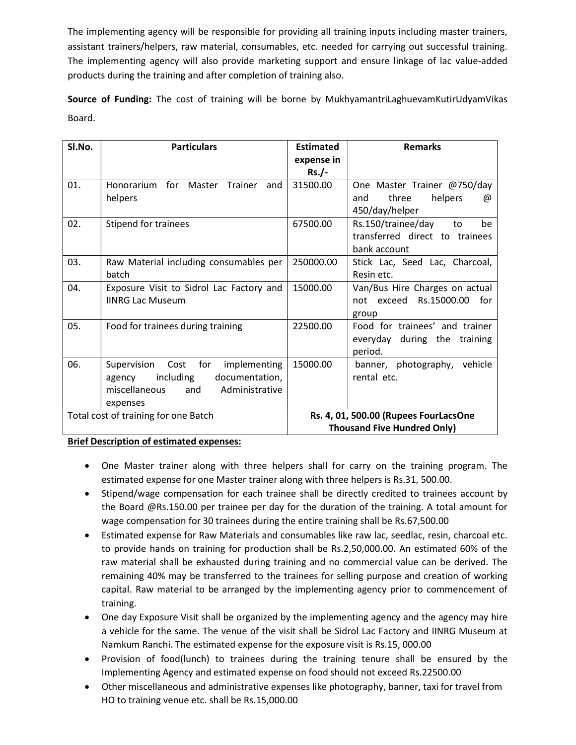The implementing agency will be responsible for providing all training inputs including master trainers, assistant trainers/helpers, raw material, consumables, etc. needed for carrying out successful training. The implementing agency will also provide marketing support and ensure linkage of lac value-added products during the training and after completion of training also.

Source of Funding: The cost of training will be borne by MukhyamantriLaghuevamKutirUdyamVikas Board.

| SI.No.                               | <b>Particulars</b>                            | <b>Estimated</b> | <b>Remarks</b>                        |
|--------------------------------------|-----------------------------------------------|------------------|---------------------------------------|
|                                      |                                               | expense in       |                                       |
|                                      |                                               | $Rs./-$          |                                       |
| 01.                                  | Honorarium<br>for<br>Master<br>Trainer<br>and | 31500.00         | One Master Trainer @750/day           |
|                                      | helpers                                       |                  | helpers<br>three<br>and<br>@          |
|                                      |                                               |                  | 450/day/helper                        |
| 02.                                  | Stipend for trainees                          | 67500.00         | Rs.150/trainee/day<br>be<br>to        |
|                                      |                                               |                  | transferred direct to trainees        |
|                                      |                                               |                  | bank account                          |
| 03.                                  | Raw Material including consumables per        | 250000.00        | Stick Lac, Seed Lac, Charcoal,        |
|                                      | batch                                         |                  | Resin etc.                            |
| 04.                                  | Exposure Visit to Sidrol Lac Factory and      | 15000.00         | Van/Bus Hire Charges on actual        |
|                                      | <b>IINRG Lac Museum</b>                       |                  | not exceed Rs.15000.00<br>for         |
|                                      |                                               |                  | group                                 |
| 05.                                  | Food for trainees during training             | 22500.00         | Food for trainees' and trainer        |
|                                      |                                               |                  | everyday during the training          |
|                                      |                                               |                  | period.                               |
| 06.                                  | Supervision Cost<br>for<br>implementing       | 15000.00         | vehicle<br>banner, photography,       |
|                                      | including<br>documentation,<br>agency         |                  | rental etc.                           |
|                                      | Administrative<br>miscellaneous<br>and        |                  |                                       |
|                                      | expenses                                      |                  |                                       |
| Total cost of training for one Batch |                                               |                  | Rs. 4, 01, 500.00 (Rupees FourLacsOne |
|                                      |                                               |                  | <b>Thousand Five Hundred Only)</b>    |

## Brief Description of estimated expenses:

- One Master trainer along with three helpers shall for carry on the training program. The estimated expense for one Master trainer along with three helpers is Rs.31, 500.00.
- Stipend/wage compensation for each trainee shall be directly credited to trainees account by the Board @Rs.150.00 per trainee per day for the duration of the training. A total amount for wage compensation for 30 trainees during the entire training shall be Rs.67,500.00
- Estimated expense for Raw Materials and consumables like raw lac, seedlac, resin, charcoal etc. to provide hands on training for production shall be Rs.2,50,000.00. An estimated 60% of the raw material shall be exhausted during training and no commercial value can be derived. The remaining 40% may be transferred to the trainees for selling purpose and creation of working capital. Raw material to be arranged by the implementing agency prior to commencement of training.
- One day Exposure Visit shall be organized by the implementing agency and the agency may hire a vehicle for the same. The venue of the visit shall be Sidrol Lac Factory and IINRG Museum at Namkum Ranchi. The estimated expense for the exposure visit is Rs.15, 000.00
- Provision of food(lunch) to trainees during the training tenure shall be ensured by the Implementing Agency and estimated expense on food should not exceed Rs.22500.00
- Other miscellaneous and administrative expenses like photography, banner, taxi for travel from HO to training venue etc. shall be Rs.15,000.00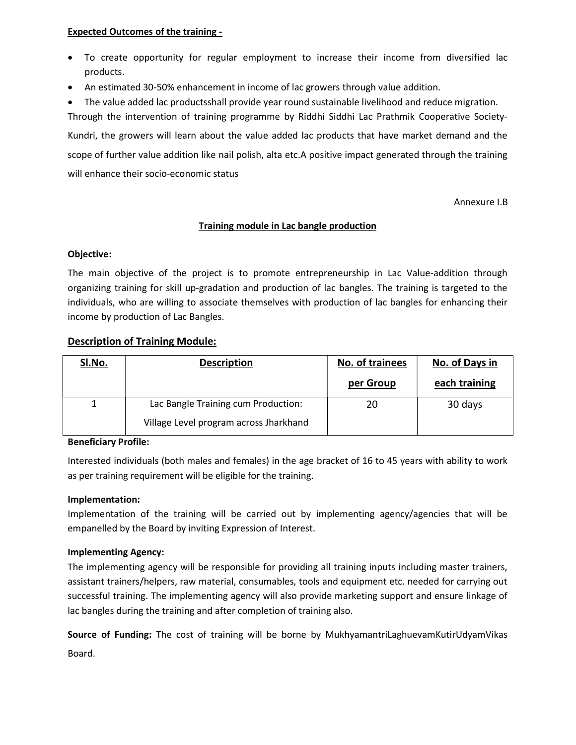#### Expected Outcomes of the training -

- To create opportunity for regular employment to increase their income from diversified lac products.
- An estimated 30-50% enhancement in income of lac growers through value addition.

The value added lac productsshall provide year round sustainable livelihood and reduce migration.

Through the intervention of training programme by Riddhi Siddhi Lac Prathmik Cooperative Society-Kundri, the growers will learn about the value added lac products that have market demand and the scope of further value addition like nail polish, alta etc.A positive impact generated through the training will enhance their socio-economic status

Annexure I.B

## Training module in Lac bangle production

## Objective:

The main objective of the project is to promote entrepreneurship in Lac Value-addition through organizing training for skill up-gradation and production of lac bangles. The training is targeted to the individuals, who are willing to associate themselves with production of lac bangles for enhancing their income by production of Lac Bangles.

## Description of Training Module:

| SI.No. | <b>Description</b>                     | No. of trainees | No. of Days in |
|--------|----------------------------------------|-----------------|----------------|
|        |                                        | per Group       | each training  |
|        | Lac Bangle Training cum Production:    | 20              | 30 days        |
|        | Village Level program across Jharkhand |                 |                |

## Beneficiary Profile:

Interested individuals (both males and females) in the age bracket of 16 to 45 years with ability to work as per training requirement will be eligible for the training.

## Implementation:

Implementation of the training will be carried out by implementing agency/agencies that will be empanelled by the Board by inviting Expression of Interest.

## Implementing Agency:

The implementing agency will be responsible for providing all training inputs including master trainers, assistant trainers/helpers, raw material, consumables, tools and equipment etc. needed for carrying out successful training. The implementing agency will also provide marketing support and ensure linkage of lac bangles during the training and after completion of training also.

Source of Funding: The cost of training will be borne by MukhyamantriLaghuevamKutirUdyamVikas Board.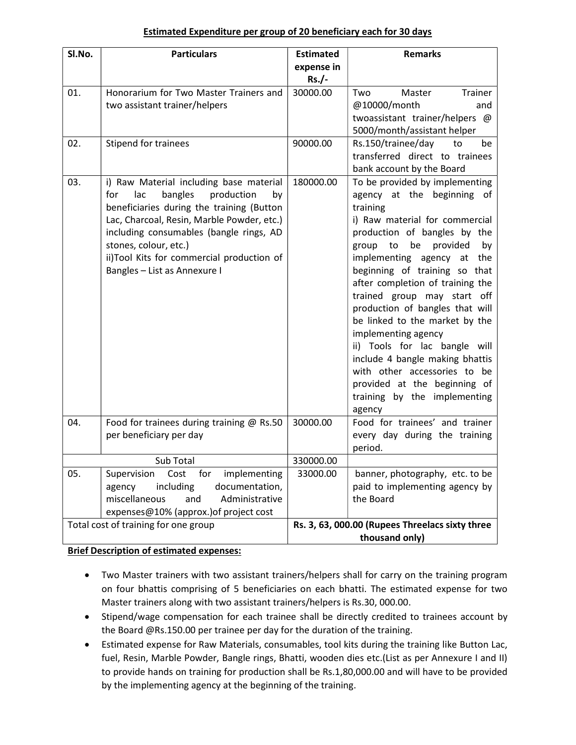## Estimated Expenditure per group of 20 beneficiary each for 30 days

| SI.No. | <b>Particulars</b>                                                              | <b>Estimated</b>                                | <b>Remarks</b>                                                  |  |
|--------|---------------------------------------------------------------------------------|-------------------------------------------------|-----------------------------------------------------------------|--|
|        |                                                                                 | expense in<br>$Rs./-$                           |                                                                 |  |
| 01.    | Honorarium for Two Master Trainers and                                          | 30000.00                                        | Master<br>Trainer<br>Two                                        |  |
|        | two assistant trainer/helpers                                                   |                                                 | @10000/month<br>and<br>twoassistant trainer/helpers @           |  |
|        |                                                                                 |                                                 | 5000/month/assistant helper                                     |  |
| 02.    | Stipend for trainees                                                            | 90000.00                                        | Rs.150/trainee/day<br>to<br>be                                  |  |
|        |                                                                                 |                                                 | transferred direct to trainees                                  |  |
| 03.    | i) Raw Material including base material                                         | 180000.00                                       | bank account by the Board<br>To be provided by implementing     |  |
|        | production<br>for<br>lac<br>bangles<br>by                                       |                                                 | agency at the beginning of                                      |  |
|        | beneficiaries during the training (Button                                       |                                                 | training                                                        |  |
|        | Lac, Charcoal, Resin, Marble Powder, etc.)                                      |                                                 | i) Raw material for commercial                                  |  |
|        | including consumables (bangle rings, AD<br>stones, colour, etc.)                |                                                 | production of bangles by the<br>provided<br>group to be<br>by   |  |
|        | ii)Tool Kits for commercial production of                                       |                                                 | implementing agency at<br>the                                   |  |
|        | Bangles - List as Annexure I                                                    |                                                 | beginning of training so that                                   |  |
|        |                                                                                 |                                                 | after completion of training the                                |  |
|        |                                                                                 |                                                 | trained group may start off<br>production of bangles that will  |  |
|        |                                                                                 |                                                 | be linked to the market by the                                  |  |
|        |                                                                                 |                                                 | implementing agency                                             |  |
|        |                                                                                 |                                                 | ii) Tools for lac bangle will                                   |  |
|        |                                                                                 |                                                 | include 4 bangle making bhattis<br>with other accessories to be |  |
|        |                                                                                 |                                                 | provided at the beginning of                                    |  |
|        |                                                                                 |                                                 | training by the implementing                                    |  |
|        |                                                                                 |                                                 | agency                                                          |  |
| 04.    | Food for trainees during training @ Rs.50<br>per beneficiary per day            | 30000.00                                        | Food for trainees' and trainer<br>every day during the training |  |
|        |                                                                                 |                                                 | period.                                                         |  |
|        | Sub Total                                                                       | 330000.00                                       |                                                                 |  |
| 05.    | Cost<br>for<br>implementing<br>Supervision                                      | 33000.00                                        | banner, photography, etc. to be                                 |  |
|        | including<br>documentation,<br>agency<br>miscellaneous<br>Administrative<br>and |                                                 | paid to implementing agency by<br>the Board                     |  |
|        | expenses@10% (approx.) of project cost                                          |                                                 |                                                                 |  |
|        | Total cost of training for one group                                            | Rs. 3, 63, 000.00 (Rupees Threelacs sixty three |                                                                 |  |
|        |                                                                                 |                                                 | thousand only)                                                  |  |

## Brief Description of estimated expenses:

- Two Master trainers with two assistant trainers/helpers shall for carry on the training program on four bhattis comprising of 5 beneficiaries on each bhatti. The estimated expense for two Master trainers along with two assistant trainers/helpers is Rs.30, 000.00.
- Stipend/wage compensation for each trainee shall be directly credited to trainees account by the Board @Rs.150.00 per trainee per day for the duration of the training.
- Estimated expense for Raw Materials, consumables, tool kits during the training like Button Lac, fuel, Resin, Marble Powder, Bangle rings, Bhatti, wooden dies etc.(List as per Annexure I and II) to provide hands on training for production shall be Rs.1,80,000.00 and will have to be provided by the implementing agency at the beginning of the training.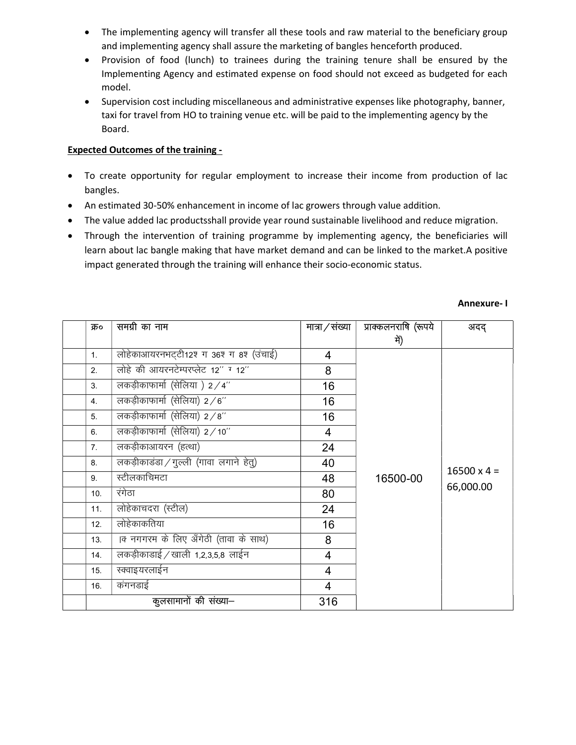- The implementing agency will transfer all these tools and raw material to the beneficiary group and implementing agency shall assure the marketing of bangles henceforth produced.
- Provision of food (lunch) to trainees during the training tenure shall be ensured by the Implementing Agency and estimated expense on food should not exceed as budgeted for each model.
- Supervision cost including miscellaneous and administrative expenses like photography, banner, taxi for travel from HO to training venue etc. will be paid to the implementing agency by the Board.

## Expected Outcomes of the training -

- To create opportunity for regular employment to increase their income from production of lac bangles.
- An estimated 30-50% enhancement in income of lac growers through value addition.
- The value added lac productsshall provide year round sustainable livelihood and reduce migration.
- Through the intervention of training programme by implementing agency, the beneficiaries will learn about lac bangle making that have market demand and can be linked to the market.A positive impact generated through the training will enhance their socio-economic status.

| क्र०           | समग्री का नाम                          | मात्रा / संख्या          | प्राक्कलनराषि (रूपये | अदद्                            |
|----------------|----------------------------------------|--------------------------|----------------------|---------------------------------|
|                |                                        |                          | में)                 |                                 |
| 1.             | लोहेकाआयरनभट्टी12श ग 36श ग 8श (उंचाई)  | 4                        |                      |                                 |
| 2.             | लोहे की आयरनटेम्परप्लेट 12" ग 12"      | 8                        |                      |                                 |
| 3.             | लकड़ीकाफार्मा (सेलिया ) 2/4"           | 16                       |                      |                                 |
| 4.             | लकड़ीकाफार्मा (सेलिया) 2/6"            | 16                       |                      |                                 |
| 5.             | लकड़ीकाफार्मा (सेलिया) $2/8$ "         | 16                       |                      |                                 |
| 6.             | लकड़ीकाफार्मा (सेलिया) 2/10"           | $\overline{4}$           |                      | $16500 \times 4 =$<br>66,000.00 |
| 7 <sub>1</sub> | लकड़ीकाआयरन (हत्था)                    | 24                       | 16500-00             |                                 |
| 8.             | लकड़ीकाडंडा / गुल्ली (गावा लगाने हेतु) | 40                       |                      |                                 |
| 9.             | स्टीलकाचिमटा                           | 48                       |                      |                                 |
| 10.            | रंगेठा                                 | 80                       |                      |                                 |
| 11.            | लोहेकाचदरा (स्टील)                     | 24                       |                      |                                 |
| 12.            | लोहेकाकतिया                            | 16                       |                      |                                 |
| 13.            | क नगगरम के लिए अँगेठी (तावा के साथ)    | 8                        |                      |                                 |
| 14.            | लकड़ीकाडाई / खाली 1,2,3,5,8 लाईन       | $\overline{\mathcal{A}}$ |                      |                                 |
| 15.            | स्क्वाइयरलाईन                          | $\overline{4}$           |                      |                                 |
| 16.            | कंगनडाई                                | $\overline{4}$           |                      |                                 |
|                | कुलसामानों की संख्या–                  | 316                      |                      |                                 |

#### Annexure- I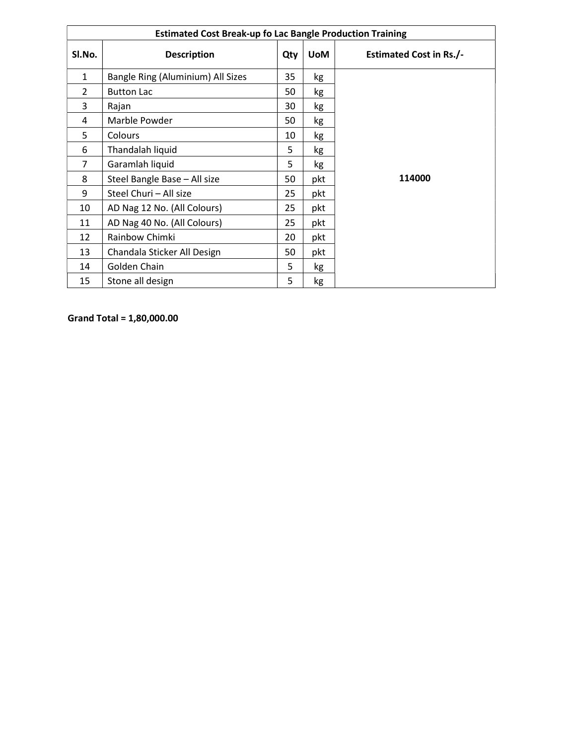| <b>Estimated Cost Break-up fo Lac Bangle Production Training</b> |                                   |     |            |                                |  |
|------------------------------------------------------------------|-----------------------------------|-----|------------|--------------------------------|--|
| SI.No.                                                           | <b>Description</b>                | Qty | <b>UoM</b> | <b>Estimated Cost in Rs./-</b> |  |
| $\mathbf{1}$                                                     | Bangle Ring (Aluminium) All Sizes | 35  | kg         |                                |  |
| $\overline{2}$                                                   | <b>Button Lac</b>                 | 50  | kg         |                                |  |
| 3                                                                | Rajan                             | 30  | kg         |                                |  |
| 4                                                                | Marble Powder                     | 50  | kg         |                                |  |
| 5                                                                | <b>Colours</b>                    | 10  | kg         |                                |  |
| 6                                                                | Thandalah liquid                  | 5   | kg         |                                |  |
| $\overline{7}$                                                   | Garamlah liquid                   | 5   | kg         |                                |  |
| 8                                                                | Steel Bangle Base - All size      | 50  | pkt        | 114000                         |  |
| 9                                                                | Steel Churi - All size            | 25  | pkt        |                                |  |
| 10                                                               | AD Nag 12 No. (All Colours)       | 25  | pkt        |                                |  |
| 11                                                               | AD Nag 40 No. (All Colours)       | 25  | pkt        |                                |  |
| 12                                                               | Rainbow Chimki                    | 20  | pkt        |                                |  |
| 13                                                               | Chandala Sticker All Design       | 50  | pkt        |                                |  |
| 14                                                               | Golden Chain                      | 5   | kg         |                                |  |
| 15                                                               | Stone all design                  | 5   | kg         |                                |  |

Grand Total = 1,80,000.00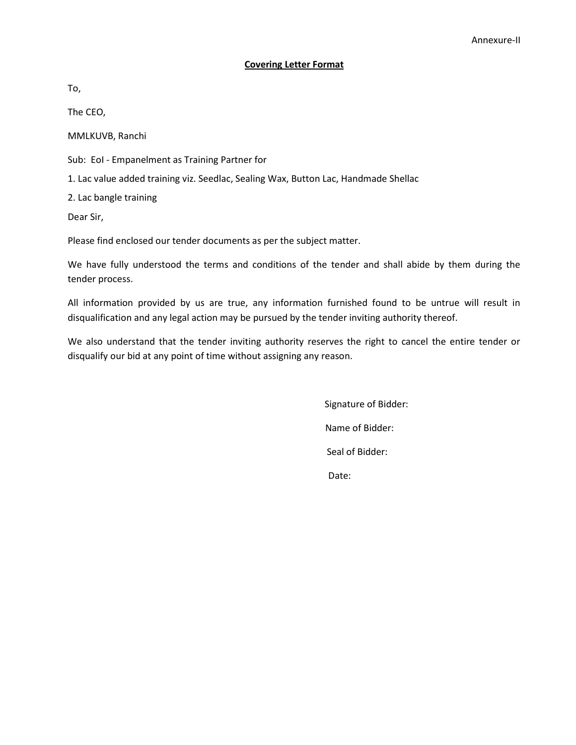### Covering Letter Format

To,

The CEO,

MMLKUVB, Ranchi

Sub: EoI - Empanelment as Training Partner for

1. Lac value added training viz. Seedlac, Sealing Wax, Button Lac, Handmade Shellac

2. Lac bangle training

Dear Sir,

Please find enclosed our tender documents as per the subject matter.

We have fully understood the terms and conditions of the tender and shall abide by them during the tender process.

All information provided by us are true, any information furnished found to be untrue will result in disqualification and any legal action may be pursued by the tender inviting authority thereof.

We also understand that the tender inviting authority reserves the right to cancel the entire tender or disqualify our bid at any point of time without assigning any reason.

> Signature of Bidder: Name of Bidder: Seal of Bidder: Date: